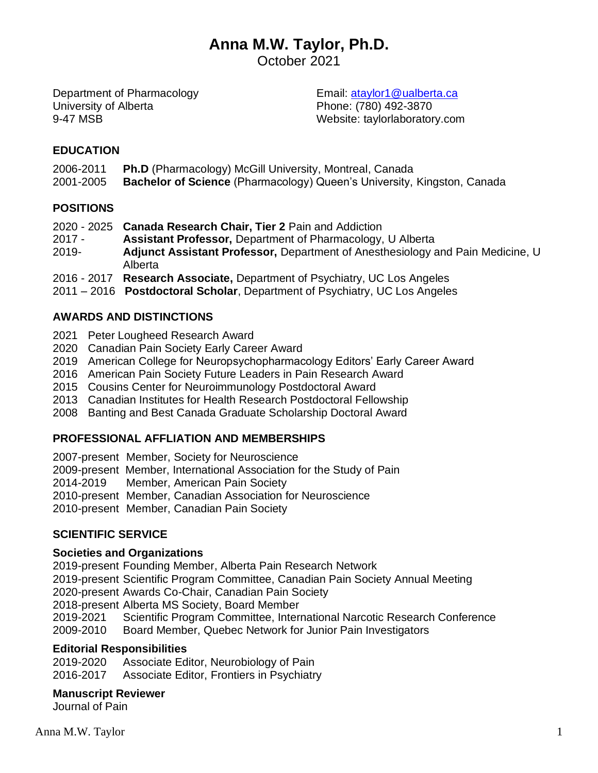# **Anna M.W. Taylor, Ph.D.**

October 2021

Department of Pharmacology University of Alberta 9-47 MSB

Email: [ataylor1@ualberta.ca](mailto:ataylor1@ucla.edu) Phone: (780) 492-3870 Website: taylorlaboratory.com

# **EDUCATION**

- 2006-2011 **Ph.D** (Pharmacology) McGill University, Montreal, Canada
- 2001-2005 **Bachelor of Science** (Pharmacology) Queen's University, Kingston, Canada

### **POSITIONS**

- 2020 2025 **Canada Research Chair, Tier 2** Pain and Addiction
- 2017 **Assistant Professor,** Department of Pharmacology, U Alberta
- 2019- **Adjunct Assistant Professor,** Department of Anesthesiology and Pain Medicine, U Alberta
- 2016 2017 **Research Associate,** Department of Psychiatry, UC Los Angeles
- 2011 2016 **Postdoctoral Scholar**, Department of Psychiatry, UC Los Angeles

# **AWARDS AND DISTINCTIONS**

- 2021 Peter Lougheed Research Award
- 2020 Canadian Pain Society Early Career Award
- 2019 American College for Neuropsychopharmacology Editors' Early Career Award
- 2016 American Pain Society Future Leaders in Pain Research Award
- 2015 Cousins Center for Neuroimmunology Postdoctoral Award
- 2013 Canadian Institutes for Health Research Postdoctoral Fellowship
- 2008 Banting and Best Canada Graduate Scholarship Doctoral Award

### **PROFESSIONAL AFFLIATION AND MEMBERSHIPS**

2007-present Member, Society for Neuroscience 2009-present Member, International Association for the Study of Pain 2014-2019 Member, American Pain Society 2010-present Member, Canadian Association for Neuroscience 2010-present Member, Canadian Pain Society

# **SCIENTIFIC SERVICE**

### **Societies and Organizations**

2019-present Founding Member, Alberta Pain Research Network

2019-present Scientific Program Committee, Canadian Pain Society Annual Meeting

2020-present Awards Co-Chair, Canadian Pain Society

2018-present Alberta MS Society, Board Member

2019-2021 Scientific Program Committee, International Narcotic Research Conference

2009-2010 Board Member, Quebec Network for Junior Pain Investigators

### **Editorial Responsibilities**

2019-2020 Associate Editor, Neurobiology of Pain 2016-2017 Associate Editor, Frontiers in Psychiatry

### **Manuscript Reviewer**

Journal of Pain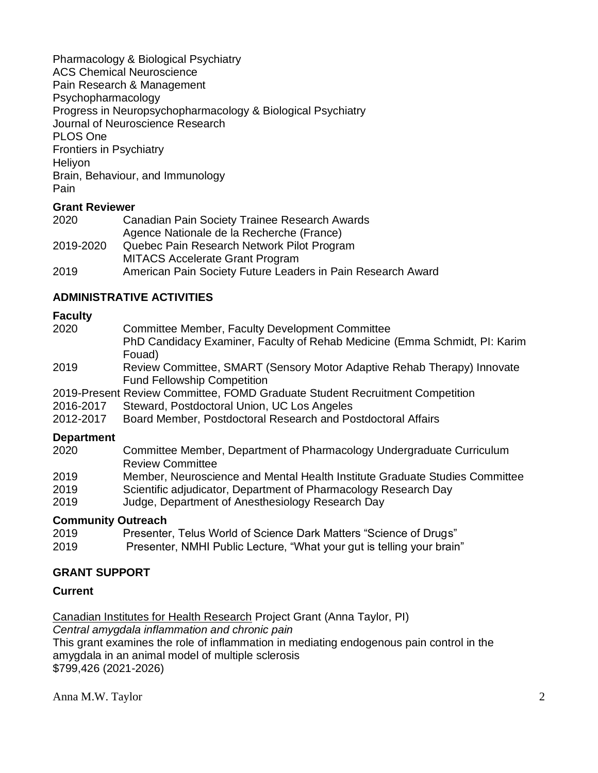Pharmacology & Biological Psychiatry ACS Chemical Neuroscience Pain Research & Management Psychopharmacology Progress in Neuropsychopharmacology & Biological Psychiatry Journal of Neuroscience Research PLOS One Frontiers in Psychiatry **Helivon** Brain, Behaviour, and Immunology Pain

### **Grant Reviewer**

| 2020      | Canadian Pain Society Trainee Research Awards               |  |
|-----------|-------------------------------------------------------------|--|
|           | Agence Nationale de la Recherche (France)                   |  |
| 2019-2020 | Quebec Pain Research Network Pilot Program                  |  |
|           | <b>MITACS Accelerate Grant Program</b>                      |  |
| 2019      | American Pain Society Future Leaders in Pain Research Award |  |

### **ADMINISTRATIVE ACTIVITIES**

#### **Faculty**

| Committee Member, Faculty Development Committee<br>PhD Candidacy Examiner, Faculty of Rehab Medicine (Emma Schmidt, PI: Karim                                                               |
|---------------------------------------------------------------------------------------------------------------------------------------------------------------------------------------------|
| Fouad)<br>Review Committee, SMART (Sensory Motor Adaptive Rehab Therapy) Innovate<br><b>Fund Fellowship Competition</b>                                                                     |
| 2019-Present Review Committee, FOMD Graduate Student Recruitment Competition<br>Steward, Postdoctoral Union, UC Los Angeles<br>Board Member, Postdoctoral Research and Postdoctoral Affairs |
| Committee Member, Department of Pharmacology Undergraduate Curriculum<br><b>Review Committee</b>                                                                                            |
|                                                                                                                                                                                             |

- 2019 Member, Neuroscience and Mental Health Institute Graduate Studies Committee
- 2019 Scientific adjudicator, Department of Pharmacology Research Day
- 2019 Judge, Department of Anesthesiology Research Day

#### **Community Outreach**

- 2019 Presenter, Telus World of Science Dark Matters "Science of Drugs"
- 2019 Presenter, NMHI Public Lecture, "What your gut is telling your brain"

#### **GRANT SUPPORT**

#### **Current**

Canadian Institutes for Health Research Project Grant (Anna Taylor, PI)

*Central amygdala inflammation and chronic pain*

This grant examines the role of inflammation in mediating endogenous pain control in the amygdala in an animal model of multiple sclerosis \$799,426 (2021-2026)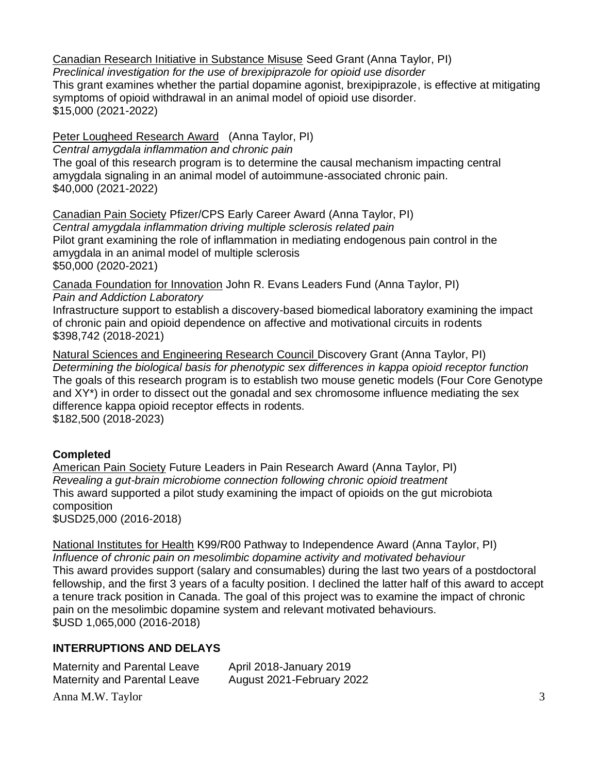Canadian Research Initiative in Substance Misuse Seed Grant (Anna Taylor, PI)

*Preclinical investigation for the use of brexipiprazole for opioid use disorder* This grant examines whether the partial dopamine agonist, brexipiprazole, is effective at mitigating symptoms of opioid withdrawal in an animal model of opioid use disorder. \$15,000 (2021-2022)

### Peter Lougheed Research Award (Anna Taylor, PI)

*Central amygdala inflammation and chronic pain*

The goal of this research program is to determine the causal mechanism impacting central amygdala signaling in an animal model of autoimmune-associated chronic pain. \$40,000 (2021-2022)

Canadian Pain Society Pfizer/CPS Early Career Award (Anna Taylor, PI) *Central amygdala inflammation driving multiple sclerosis related pain* Pilot grant examining the role of inflammation in mediating endogenous pain control in the amygdala in an animal model of multiple sclerosis \$50,000 (2020-2021)

Canada Foundation for Innovation John R. Evans Leaders Fund (Anna Taylor, PI) *Pain and Addiction Laboratory*

Infrastructure support to establish a discovery-based biomedical laboratory examining the impact of chronic pain and opioid dependence on affective and motivational circuits in rodents \$398,742 (2018-2021)

Natural Sciences and Engineering Research Council Discovery Grant (Anna Taylor, PI) *Determining the biological basis for phenotypic sex differences in kappa opioid receptor function* The goals of this research program is to establish two mouse genetic models (Four Core Genotype and XY\*) in order to dissect out the gonadal and sex chromosome influence mediating the sex difference kappa opioid receptor effects in rodents. \$182,500 (2018-2023)

# **Completed**

American Pain Society Future Leaders in Pain Research Award (Anna Taylor, PI) *Revealing a gut-brain microbiome connection following chronic opioid treatment* This award supported a pilot study examining the impact of opioids on the gut microbiota composition \$USD25,000 (2016-2018)

National Institutes for Health K99/R00 Pathway to Independence Award (Anna Taylor, PI) *Influence of chronic pain on mesolimbic dopamine activity and motivated behaviour* This award provides support (salary and consumables) during the last two years of a postdoctoral fellowship, and the first 3 years of a faculty position. I declined the latter half of this award to accept a tenure track position in Canada. The goal of this project was to examine the impact of chronic pain on the mesolimbic dopamine system and relevant motivated behaviours. \$USD 1,065,000 (2016-2018)

# **INTERRUPTIONS AND DELAYS**

| <b>Maternity and Parental Leave</b> | April 2018-January 2019   |  |
|-------------------------------------|---------------------------|--|
| <b>Maternity and Parental Leave</b> | August 2021-February 2022 |  |
| Anna M.W. Taylor                    |                           |  |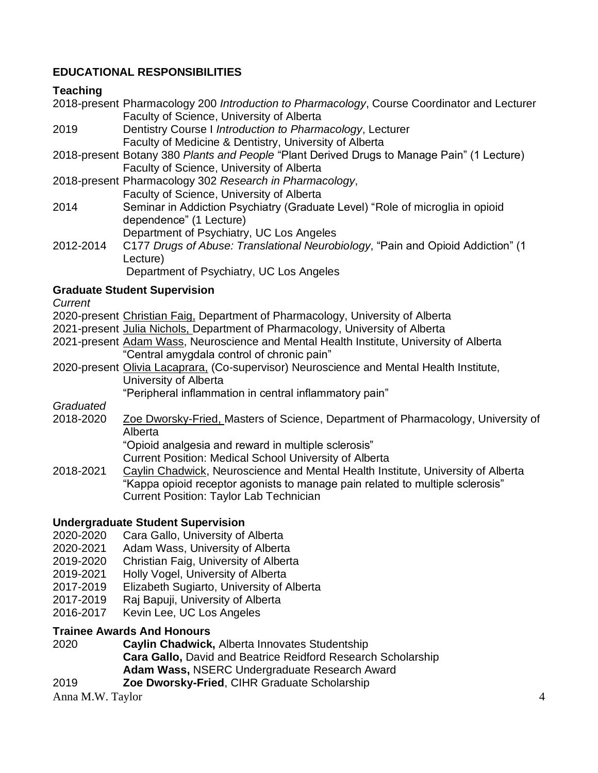### **EDUCATIONAL RESPONSIBILITIES**

### **Teaching**

2018-present Pharmacology 200 *Introduction to Pharmacology*, Course Coordinator and Lecturer Faculty of Science, University of Alberta

2019 Dentistry Course I *Introduction to Pharmacology*, Lecturer Faculty of Medicine & Dentistry, University of Alberta

2018-present Botany 380 *Plants and People* "Plant Derived Drugs to Manage Pain" (1 Lecture) Faculty of Science, University of Alberta

- 2018-present Pharmacology 302 *Research in Pharmacology*, Faculty of Science, University of Alberta
- 2014 Seminar in Addiction Psychiatry (Graduate Level) "Role of microglia in opioid dependence" (1 Lecture)
	- Department of Psychiatry, UC Los Angeles
- 2012-2014 C177 *Drugs of Abuse: Translational Neurobiology*, "Pain and Opioid Addiction" (1 Lecture)

Department of Psychiatry, UC Los Angeles

### **Graduate Student Supervision**

*Current*

- 2020-present Christian Faig, Department of Pharmacology, University of Alberta
- 2021-present Julia Nichols, Department of Pharmacology, University of Alberta
- 2021-present Adam Wass, Neuroscience and Mental Health Institute, University of Alberta "Central amygdala control of chronic pain"
- 2020-present Olivia Lacaprara, (Co-supervisor) Neuroscience and Mental Health Institute, University of Alberta

"Peripheral inflammation in central inflammatory pain"

*Graduated*

2018-2020 Zoe Dworsky-Fried, Masters of Science, Department of Pharmacology, University of Alberta

"Opioid analgesia and reward in multiple sclerosis"

Current Position: Medical School University of Alberta

2018-2021 Caylin Chadwick, Neuroscience and Mental Health Institute, University of Alberta "Kappa opioid receptor agonists to manage pain related to multiple sclerosis" Current Position: Taylor Lab Technician

### **Undergraduate Student Supervision**

- 2020-2020 Cara Gallo, University of Alberta
- 2020-2021 Adam Wass, University of Alberta
- 2019-2020 Christian Faig, University of Alberta
- 2019-2021 Holly Vogel, University of Alberta
- 2017-2019 Elizabeth Sugiarto, University of Alberta
- 2017-2019 Raj Bapuji, University of Alberta
- 2016-2017 Kevin Lee, UC Los Angeles

### **Trainee Awards And Honours**

- 2020 **Caylin Chadwick,** Alberta Innovates Studentship **Cara Gallo,** David and Beatrice Reidford Research Scholarship **Adam Wass,** NSERC Undergraduate Research Award
- 2019 **Zoe Dworsky-Fried**, CIHR Graduate Scholarship

Anna M.W. Taylor 4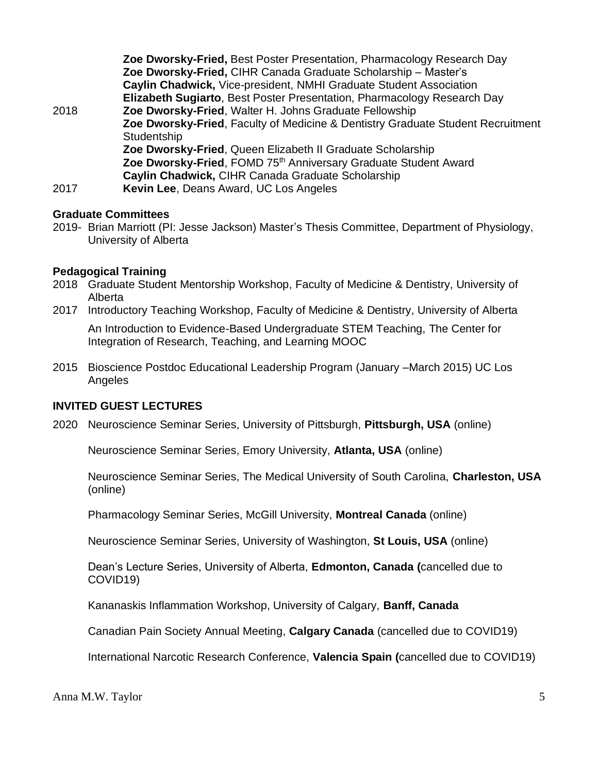|      | Zoe Dworsky-Fried, Best Poster Presentation, Pharmacology Research Day          |
|------|---------------------------------------------------------------------------------|
|      | Zoe Dworsky-Fried, CIHR Canada Graduate Scholarship - Master's                  |
|      | Caylin Chadwick, Vice-president, NMHI Graduate Student Association              |
|      | Elizabeth Sugiarto, Best Poster Presentation, Pharmacology Research Day         |
| 2018 | Zoe Dworsky-Fried, Walter H. Johns Graduate Fellowship                          |
|      | Zoe Dworsky-Fried, Faculty of Medicine & Dentistry Graduate Student Recruitment |
|      | Studentship                                                                     |
|      | Zoe Dworsky-Fried, Queen Elizabeth II Graduate Scholarship                      |
|      | Zoe Dworsky-Fried, FOMD 75 <sup>th</sup> Anniversary Graduate Student Award     |
|      | Caylin Chadwick, CIHR Canada Graduate Scholarship                               |
| 2017 | Kevin Lee, Deans Award, UC Los Angeles                                          |

### **Graduate Committees**

2019- Brian Marriott (PI: Jesse Jackson) Master's Thesis Committee, Department of Physiology, University of Alberta

### **Pedagogical Training**

- 2018 Graduate Student Mentorship Workshop, Faculty of Medicine & Dentistry, University of Alberta
- 2017 Introductory Teaching Workshop, Faculty of Medicine & Dentistry, University of Alberta An Introduction to Evidence-Based Undergraduate STEM Teaching, The Center for Integration of Research, Teaching, and Learning MOOC
- 2015 Bioscience Postdoc Educational Leadership Program (January –March 2015) UC Los Angeles

#### **INVITED GUEST LECTURES**

2020 Neuroscience Seminar Series, University of Pittsburgh, **Pittsburgh, USA** (online)

Neuroscience Seminar Series, Emory University, **Atlanta, USA** (online)

Neuroscience Seminar Series, The Medical University of South Carolina, **Charleston, USA** (online)

Pharmacology Seminar Series, McGill University, **Montreal Canada** (online)

Neuroscience Seminar Series, University of Washington, **St Louis, USA** (online)

Dean's Lecture Series, University of Alberta, **Edmonton, Canada (**cancelled due to COVID19)

Kananaskis Inflammation Workshop, University of Calgary, **Banff, Canada**

Canadian Pain Society Annual Meeting, **Calgary Canada** (cancelled due to COVID19)

International Narcotic Research Conference, **Valencia Spain (**cancelled due to COVID19)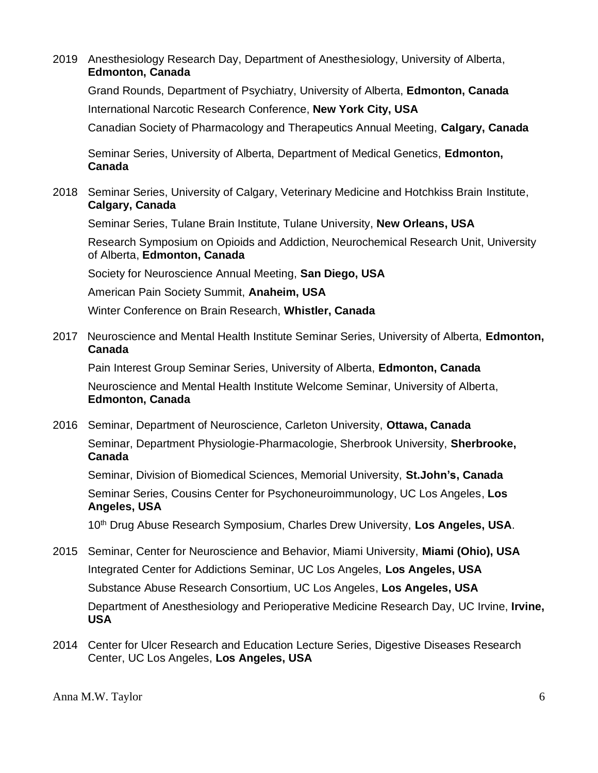2019 Anesthesiology Research Day, Department of Anesthesiology, University of Alberta, **Edmonton, Canada**

Grand Rounds, Department of Psychiatry, University of Alberta, **Edmonton, Canada** International Narcotic Research Conference, **New York City, USA** Canadian Society of Pharmacology and Therapeutics Annual Meeting, **Calgary, Canada**

Seminar Series, University of Alberta, Department of Medical Genetics, **Edmonton, Canada**

2018 Seminar Series, University of Calgary, Veterinary Medicine and Hotchkiss Brain Institute, **Calgary, Canada**

Seminar Series, Tulane Brain Institute, Tulane University, **New Orleans, USA**

Research Symposium on Opioids and Addiction, Neurochemical Research Unit, University of Alberta, **Edmonton, Canada**

Society for Neuroscience Annual Meeting, **San Diego, USA**

American Pain Society Summit, **Anaheim, USA**

Winter Conference on Brain Research, **Whistler, Canada**

2017 Neuroscience and Mental Health Institute Seminar Series, University of Alberta, **Edmonton, Canada**

Pain Interest Group Seminar Series, University of Alberta, **Edmonton, Canada** Neuroscience and Mental Health Institute Welcome Seminar, University of Alberta, **Edmonton, Canada**

2016 Seminar, Department of Neuroscience, Carleton University, **Ottawa, Canada** Seminar, Department Physiologie-Pharmacologie, Sherbrook University, **Sherbrooke, Canada**

Seminar, Division of Biomedical Sciences, Memorial University, **St.John's, Canada** Seminar Series, Cousins Center for Psychoneuroimmunology, UC Los Angeles, **Los Angeles, USA**

10th Drug Abuse Research Symposium, Charles Drew University, **Los Angeles, USA**.

- 2015 Seminar, Center for Neuroscience and Behavior, Miami University, **Miami (Ohio), USA** Integrated Center for Addictions Seminar, UC Los Angeles, **Los Angeles, USA** Substance Abuse Research Consortium, UC Los Angeles, **Los Angeles, USA** Department of Anesthesiology and Perioperative Medicine Research Day, UC Irvine, **Irvine, USA**
- 2014 Center for Ulcer Research and Education Lecture Series, Digestive Diseases Research Center, UC Los Angeles, **Los Angeles, USA**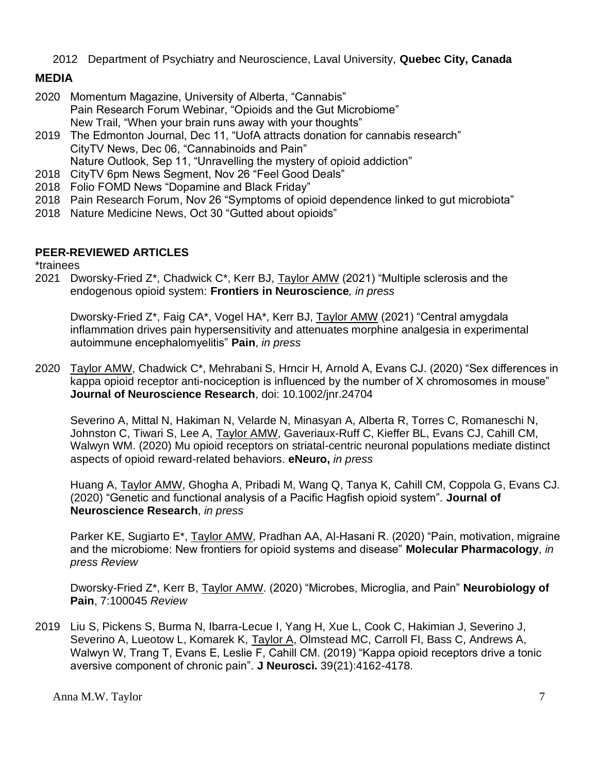2012 Department of Psychiatry and Neuroscience, Laval University, **Quebec City, Canada**

# **MEDIA**

- 2020 Momentum Magazine, University of Alberta, "Cannabis" Pain Research Forum Webinar, "Opioids and the Gut Microbiome" New Trail, "When your brain runs away with your thoughts"
- 2019 The Edmonton Journal, Dec 11, "UofA attracts donation for cannabis research" CityTV News, Dec 06, "Cannabinoids and Pain" Nature Outlook, Sep 11, "Unravelling the mystery of opioid addiction"
- 2018 CityTV 6pm News Segment, Nov 26 "Feel Good Deals"
- 2018 Folio FOMD News "Dopamine and Black Friday"
- 2018 Pain Research Forum, Nov 26 "Symptoms of opioid dependence linked to gut microbiota"
- 2018 Nature Medicine News, Oct 30 "Gutted about opioids"

### **PEER-REVIEWED ARTICLES**

\*trainees

2021 Dworsky-Fried Z\*, Chadwick C\*, Kerr BJ, Taylor AMW (2021) "Multiple sclerosis and the endogenous opioid system: **Frontiers in Neuroscience***, in press*

Dworsky-Fried Z\*, Faig CA\*, Vogel HA\*, Kerr BJ, Taylor AMW (2021) "Central amygdala inflammation drives pain hypersensitivity and attenuates morphine analgesia in experimental autoimmune encephalomyelitis" **Pain**, *in press*

2020 Taylor AMW, Chadwick C\*, Mehrabani S, Hrncir H, Arnold A, Evans CJ. (2020) "Sex differences in kappa opioid receptor anti-nociception is influenced by the number of X chromosomes in mouse" **Journal of Neuroscience Research**, doi: 10.1002/jnr.24704

Severino A, Mittal N, Hakiman N, Velarde N, Minasyan A, Alberta R, Torres C, Romaneschi N, Johnston C, Tiwari S, Lee A, Taylor AMW, Gaveriaux-Ruff C, Kieffer BL, Evans CJ, Cahill CM, Walwyn WM. (2020) Mu opioid receptors on striatal-centric neuronal populations mediate distinct aspects of opioid reward-related behaviors. **eNeuro,** *in press*

Huang A, Taylor AMW, Ghogha A, Pribadi M, Wang Q, Tanya K, Cahill CM, Coppola G, Evans CJ. (2020) "Genetic and functional analysis of a Pacific Hagfish opioid system". **Journal of Neuroscience Research**, *in press*

Parker KE, Sugiarto E\*, Taylor AMW, Pradhan AA, Al-Hasani R. (2020) "Pain, motivation, migraine and the microbiome: New frontiers for opioid systems and disease" **Molecular Pharmacology**, *in press Review*

Dworsky-Fried Z\*, Kerr B, Taylor AMW. (2020) "Microbes, Microglia, and Pain" **Neurobiology of Pain**, 7:100045 *Review*

2019 Liu S, Pickens S, Burma N, Ibarra-Lecue I, Yang H, Xue L, Cook C, Hakimian J, Severino J, Severino A, Lueotow L, Komarek K, Taylor A, Olmstead MC, Carroll FI, Bass C, Andrews A, Walwyn W, Trang T, Evans E, Leslie F, Cahill CM. (2019) "Kappa opioid receptors drive a tonic aversive component of chronic pain". **J Neurosci.** 39(21):4162-4178.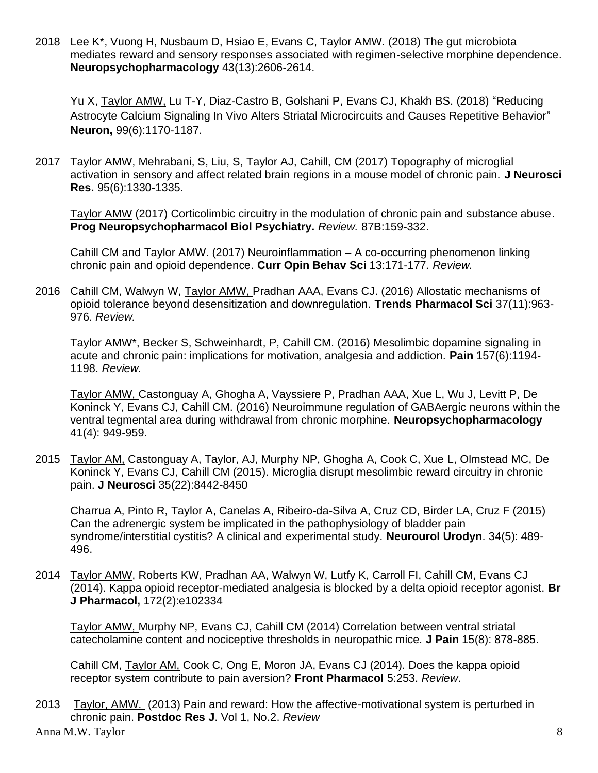2018 Lee K\*, Vuong H, Nusbaum D, Hsiao E, Evans C, Taylor AMW. (2018) The gut microbiota mediates reward and sensory responses associated with regimen-selective morphine dependence. **Neuropsychopharmacology** 43(13):2606-2614.

Yu X, Taylor AMW, Lu T-Y, Diaz-Castro B, Golshani P, Evans CJ, Khakh BS. (2018) "Reducing Astrocyte Calcium Signaling In Vivo Alters Striatal Microcircuits and Causes Repetitive Behavior" **Neuron,** 99(6):1170-1187.

2017 Taylor AMW, Mehrabani, S, Liu, S, Taylor AJ, Cahill, CM (2017) Topography of microglial activation in sensory and affect related brain regions in a mouse model of chronic pain. **J Neurosci Res.** 95(6):1330-1335.

Taylor AMW (2017) Corticolimbic circuitry in the modulation of chronic pain and substance abuse. **Prog Neuropsychopharmacol Biol Psychiatry.** *Review.* 87B:159-332.

Cahill CM and Taylor AMW. (2017) Neuroinflammation – A co-occurring phenomenon linking chronic pain and opioid dependence. **Curr Opin Behav Sci** 13:171-177*. Review.*

2016 Cahill CM, Walwyn W, Taylor AMW, Pradhan AAA, Evans CJ. (2016) Allostatic mechanisms of opioid tolerance beyond desensitization and downregulation. **Trends Pharmacol Sci** 37(11):963- 976*. Review.* 

Taylor AMW\*, Becker S, Schweinhardt, P, Cahill CM. (2016) Mesolimbic dopamine signaling in acute and chronic pain: implications for motivation, analgesia and addiction. **Pain** 157(6):1194- 1198. *Review.*

Taylor AMW, Castonguay A, Ghogha A, Vayssiere P, Pradhan AAA, Xue L, Wu J, Levitt P, De Koninck Y, Evans CJ, Cahill CM. (2016) Neuroimmune regulation of GABAergic neurons within the ventral tegmental area during withdrawal from chronic morphine. **Neuropsychopharmacology**  41(4): 949-959.

2015 Taylor AM, Castonguay A, Taylor, AJ, Murphy NP, Ghogha A, Cook C, Xue L, Olmstead MC, De Koninck Y, Evans CJ, Cahill CM (2015). Microglia disrupt mesolimbic reward circuitry in chronic pain. **J Neurosci** 35(22):8442-8450

Charrua A, Pinto R, Taylor A, Canelas A, Ribeiro-da-Silva A, Cruz CD, Birder LA, Cruz F (2015) Can the adrenergic system be implicated in the pathophysiology of bladder pain syndrome/interstitial cystitis? A clinical and experimental study. **Neurourol Urodyn**. 34(5): 489- 496.

2014 Taylor AMW, Roberts KW, Pradhan AA, Walwyn W, Lutfy K, Carroll FI, Cahill CM, Evans CJ (2014). Kappa opioid receptor-mediated analgesia is blocked by a delta opioid receptor agonist. **Br J Pharmacol,** 172(2):e102334

Taylor AMW, Murphy NP, Evans CJ, Cahill CM (2014) Correlation between ventral striatal catecholamine content and nociceptive thresholds in neuropathic mice. **J Pain** 15(8): 878-885.

Cahill CM, Taylor AM, Cook C, Ong E, Moron JA, Evans CJ (2014). Does the kappa opioid receptor system contribute to pain aversion? **Front Pharmacol** 5:253. *Review*.

Anna M.W. Taylor 8 2013 Taylor, AMW. (2013) Pain and reward: How the affective-motivational system is perturbed in chronic pain. **Postdoc Res J**. Vol 1, No.2. *Review*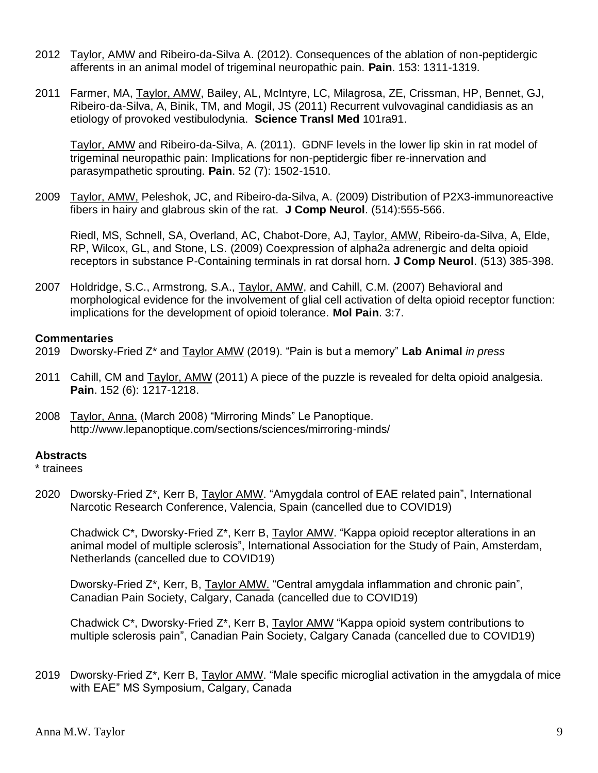- 2012 Taylor, AMW and Ribeiro-da-Silva A. (2012). Consequences of the ablation of non-peptidergic afferents in an animal model of trigeminal neuropathic pain. **Pain**. 153: 1311-1319*.*
- 2011 Farmer, MA, Taylor, AMW, Bailey, AL, McIntyre, LC, Milagrosa, ZE, Crissman, HP, Bennet, GJ, Ribeiro-da-Silva, A, Binik, TM, and Mogil, JS (2011) Recurrent vulvovaginal candidiasis as an etiology of provoked vestibulodynia. **Science Transl Med** 101ra91.

Taylor, AMW and Ribeiro-da-Silva, A. (2011). GDNF levels in the lower lip skin in rat model of trigeminal neuropathic pain: Implications for non-peptidergic fiber re-innervation and parasympathetic sprouting. **Pain**. 52 (7): 1502-1510.

2009 Taylor, AMW, Peleshok, JC, and Ribeiro-da-Silva, A. (2009) Distribution of P2X3-immunoreactive fibers in hairy and glabrous skin of the rat. **J Comp Neurol**. (514):555-566.

Riedl, MS, Schnell, SA, Overland, AC, Chabot-Dore, AJ, Taylor, AMW, Ribeiro-da-Silva, A, Elde, RP, Wilcox, GL, and Stone, LS. (2009) Coexpression of alpha2a adrenergic and delta opioid receptors in substance P-Containing terminals in rat dorsal horn. **J Comp Neurol**. (513) 385-398.

2007 Holdridge, S.C., Armstrong, S.A., Taylor, AMW, and Cahill, C.M. (2007) Behavioral and morphological evidence for the involvement of glial cell activation of delta opioid receptor function: implications for the development of opioid tolerance. **Mol Pain**. 3:7.

### **Commentaries**

- 2019 Dworsky-Fried Z\* and Taylor AMW (2019). "Pain is but a memory" **Lab Animal** *in press*
- 2011 Cahill, CM and Taylor, AMW (2011) A piece of the puzzle is revealed for delta opioid analgesia. **Pain**. 152 (6): 1217-1218.
- 2008 Taylor, Anna. (March 2008) "Mirroring Minds" Le Panoptique. <http://www.lepanoptique.com/sections/sciences/mirroring-minds/>

### **Abstracts**

\* trainees

2020 Dworsky-Fried Z\*, Kerr B, Taylor AMW. "Amygdala control of EAE related pain", International Narcotic Research Conference, Valencia, Spain (cancelled due to COVID19)

Chadwick C\*, Dworsky-Fried Z\*, Kerr B, Taylor AMW. "Kappa opioid receptor alterations in an animal model of multiple sclerosis", International Association for the Study of Pain, Amsterdam, Netherlands (cancelled due to COVID19)

Dworsky-Fried Z\*, Kerr, B, Taylor AMW. "Central amygdala inflammation and chronic pain", Canadian Pain Society, Calgary, Canada (cancelled due to COVID19)

Chadwick C\*, Dworsky-Fried Z\*, Kerr B, Taylor AMW "Kappa opioid system contributions to multiple sclerosis pain", Canadian Pain Society, Calgary Canada (cancelled due to COVID19)

2019 Dworsky-Fried Z\*, Kerr B, Taylor AMW. "Male specific microglial activation in the amygdala of mice with EAE" MS Symposium, Calgary, Canada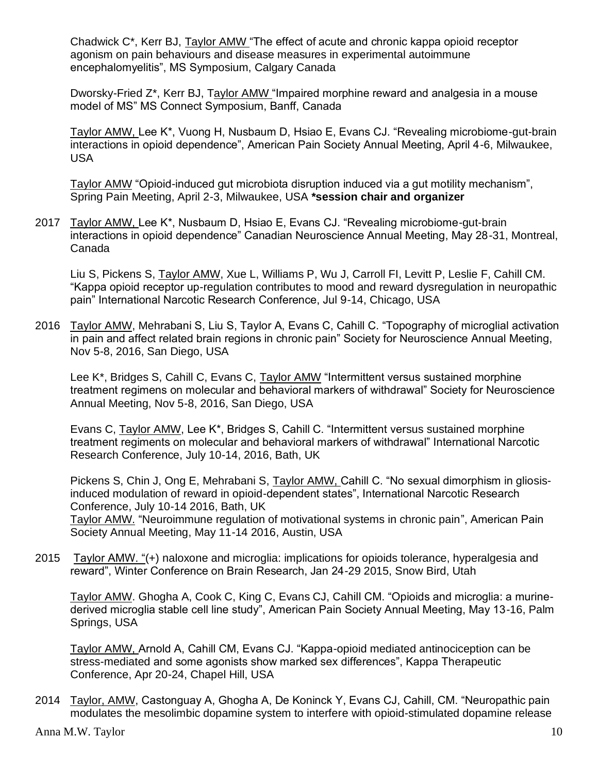Chadwick C\*, Kerr BJ, Taylor AMW "The effect of acute and chronic kappa opioid receptor agonism on pain behaviours and disease measures in experimental autoimmune encephalomyelitis", MS Symposium, Calgary Canada

Dworsky-Fried Z\*, Kerr BJ, Taylor AMW "Impaired morphine reward and analgesia in a mouse model of MS" MS Connect Symposium, Banff, Canada

Taylor AMW, Lee K\*, Vuong H, Nusbaum D, Hsiao E, Evans CJ. "Revealing microbiome-gut-brain interactions in opioid dependence", American Pain Society Annual Meeting, April 4-6, Milwaukee, USA

Taylor AMW "Opioid-induced gut microbiota disruption induced via a gut motility mechanism", Spring Pain Meeting, April 2-3, Milwaukee, USA **\*session chair and organizer**

2017 Taylor AMW, Lee K\*, Nusbaum D, Hsiao E, Evans CJ. "Revealing microbiome-gut-brain interactions in opioid dependence" Canadian Neuroscience Annual Meeting, May 28-31, Montreal, Canada

Liu S, Pickens S, Taylor AMW, Xue L, Williams P, Wu J, Carroll FI, Levitt P, Leslie F, Cahill CM. "Kappa opioid receptor up-regulation contributes to mood and reward dysregulation in neuropathic pain" International Narcotic Research Conference, Jul 9-14, Chicago, USA

2016 Taylor AMW, Mehrabani S, Liu S, Taylor A, Evans C, Cahill C. "Topography of microglial activation in pain and affect related brain regions in chronic pain" Society for Neuroscience Annual Meeting, Nov 5-8, 2016, San Diego, USA

Lee K\*, Bridges S, Cahill C, Evans C, Taylor AMW "Intermittent versus sustained morphine treatment regimens on molecular and behavioral markers of withdrawal" Society for Neuroscience Annual Meeting, Nov 5-8, 2016, San Diego, USA

Evans C, Taylor AMW, Lee K\*, Bridges S, Cahill C. "Intermittent versus sustained morphine treatment regiments on molecular and behavioral markers of withdrawal" International Narcotic Research Conference, July 10-14, 2016, Bath, UK

Pickens S, Chin J, Ong E, Mehrabani S, Taylor AMW, Cahill C. "No sexual dimorphism in gliosisinduced modulation of reward in opioid-dependent states", International Narcotic Research Conference, July 10-14 2016, Bath, UK

Taylor AMW. "Neuroimmune regulation of motivational systems in chronic pain", American Pain Society Annual Meeting, May 11-14 2016, Austin, USA

2015 Taylor AMW. "(+) naloxone and microglia: implications for opioids tolerance, hyperalgesia and reward", Winter Conference on Brain Research, Jan 24-29 2015, Snow Bird, Utah

Taylor AMW. Ghogha A, Cook C, King C, Evans CJ, Cahill CM. "Opioids and microglia: a murinederived microglia stable cell line study", American Pain Society Annual Meeting, May 13-16, Palm Springs, USA

Taylor AMW, Arnold A, Cahill CM, Evans CJ. "Kappa-opioid mediated antinociception can be stress-mediated and some agonists show marked sex differences", Kappa Therapeutic Conference, Apr 20-24, Chapel Hill, USA

2014 Taylor, AMW, Castonguay A, Ghogha A, De Koninck Y, Evans CJ, Cahill, CM. "Neuropathic pain modulates the mesolimbic dopamine system to interfere with opioid-stimulated dopamine release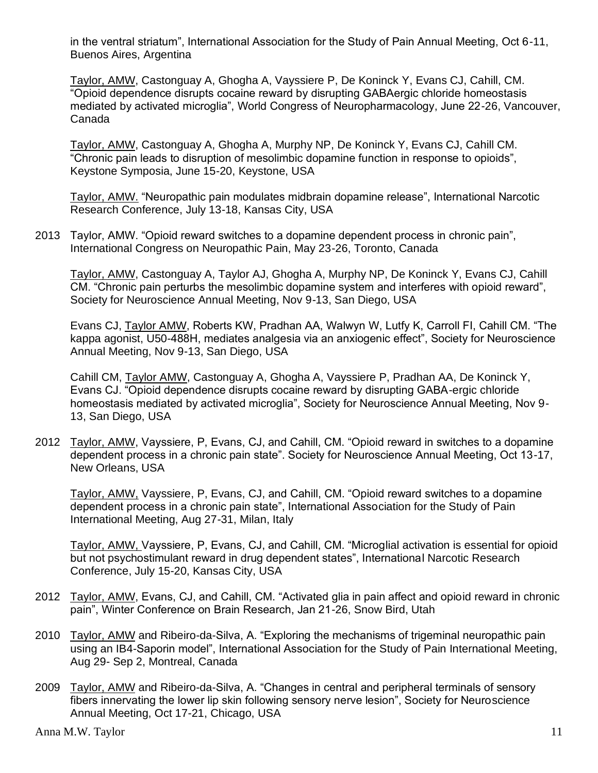in the ventral striatum", International Association for the Study of Pain Annual Meeting, Oct 6-11, Buenos Aires, Argentina

Taylor, AMW, Castonguay A, Ghogha A, Vayssiere P, De Koninck Y, Evans CJ, Cahill, CM. "Opioid dependence disrupts cocaine reward by disrupting GABAergic chloride homeostasis mediated by activated microglia", World Congress of Neuropharmacology, June 22-26, Vancouver, Canada

Taylor, AMW, Castonguay A, Ghogha A, Murphy NP, De Koninck Y, Evans CJ, Cahill CM. "Chronic pain leads to disruption of mesolimbic dopamine function in response to opioids", Keystone Symposia, June 15-20, Keystone, USA

Taylor, AMW. "Neuropathic pain modulates midbrain dopamine release", International Narcotic Research Conference, July 13-18, Kansas City, USA

2013 Taylor, AMW. "Opioid reward switches to a dopamine dependent process in chronic pain", International Congress on Neuropathic Pain, May 23-26, Toronto, Canada

Taylor, AMW, Castonguay A, Taylor AJ, Ghogha A, Murphy NP, De Koninck Y, Evans CJ, Cahill CM. "Chronic pain perturbs the mesolimbic dopamine system and interferes with opioid reward", Society for Neuroscience Annual Meeting, Nov 9-13, San Diego, USA

Evans CJ, Taylor AMW, Roberts KW, Pradhan AA, Walwyn W, Lutfy K, Carroll FI, Cahill CM. "The kappa agonist, U50-488H, mediates analgesia via an anxiogenic effect", Society for Neuroscience Annual Meeting, Nov 9-13, San Diego, USA

Cahill CM, Taylor AMW, Castonguay A, Ghogha A, Vayssiere P, Pradhan AA, De Koninck Y, Evans CJ. "Opioid dependence disrupts cocaine reward by disrupting GABA-ergic chloride homeostasis mediated by activated microglia", Society for Neuroscience Annual Meeting, Nov 9- 13, San Diego, USA

2012 Taylor, AMW, Vayssiere, P, Evans, CJ, and Cahill, CM. "Opioid reward in switches to a dopamine dependent process in a chronic pain state". Society for Neuroscience Annual Meeting, Oct 13-17, New Orleans, USA

Taylor, AMW, Vayssiere, P, Evans, CJ, and Cahill, CM. "Opioid reward switches to a dopamine dependent process in a chronic pain state", International Association for the Study of Pain International Meeting, Aug 27-31, Milan, Italy

Taylor, AMW, Vayssiere, P, Evans, CJ, and Cahill, CM. "Microglial activation is essential for opioid but not psychostimulant reward in drug dependent states", International Narcotic Research Conference, July 15-20, Kansas City, USA

- 2012 Taylor, AMW, Evans, CJ, and Cahill, CM. "Activated glia in pain affect and opioid reward in chronic pain", Winter Conference on Brain Research, Jan 21-26, Snow Bird, Utah
- 2010 Taylor, AMW and Ribeiro-da-Silva, A. "Exploring the mechanisms of trigeminal neuropathic pain using an IB4-Saporin model", International Association for the Study of Pain International Meeting, Aug 29- Sep 2, Montreal, Canada
- 2009 Taylor, AMW and Ribeiro-da-Silva, A. "Changes in central and peripheral terminals of sensory fibers innervating the lower lip skin following sensory nerve lesion", Society for Neuroscience Annual Meeting, Oct 17-21, Chicago, USA